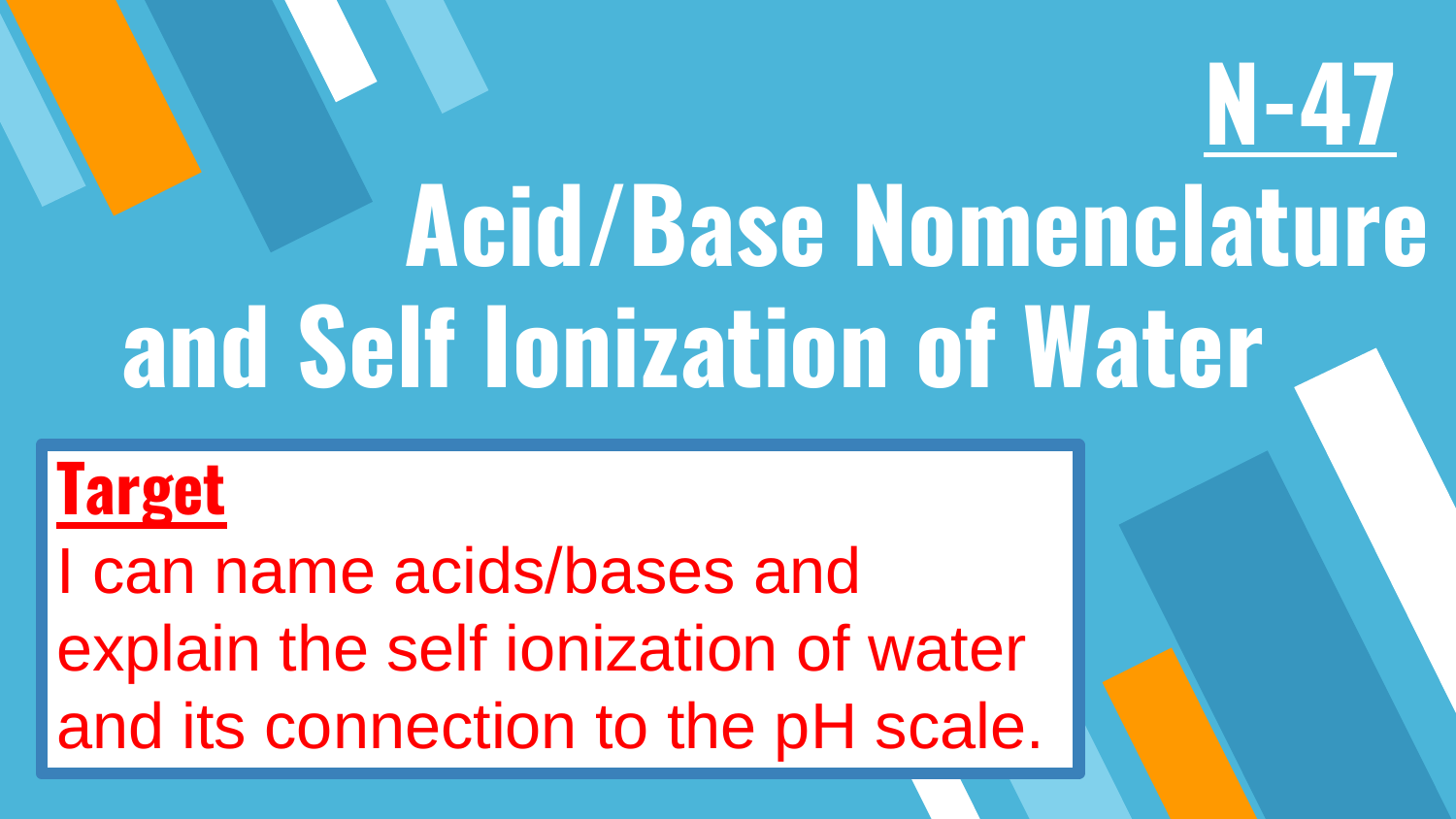# **Acid/Base Nomenclature and Self Ionization of Water**

**N-47**

#### **Target**

I can name acids/bases and explain the self ionization of water and its connection to the pH scale.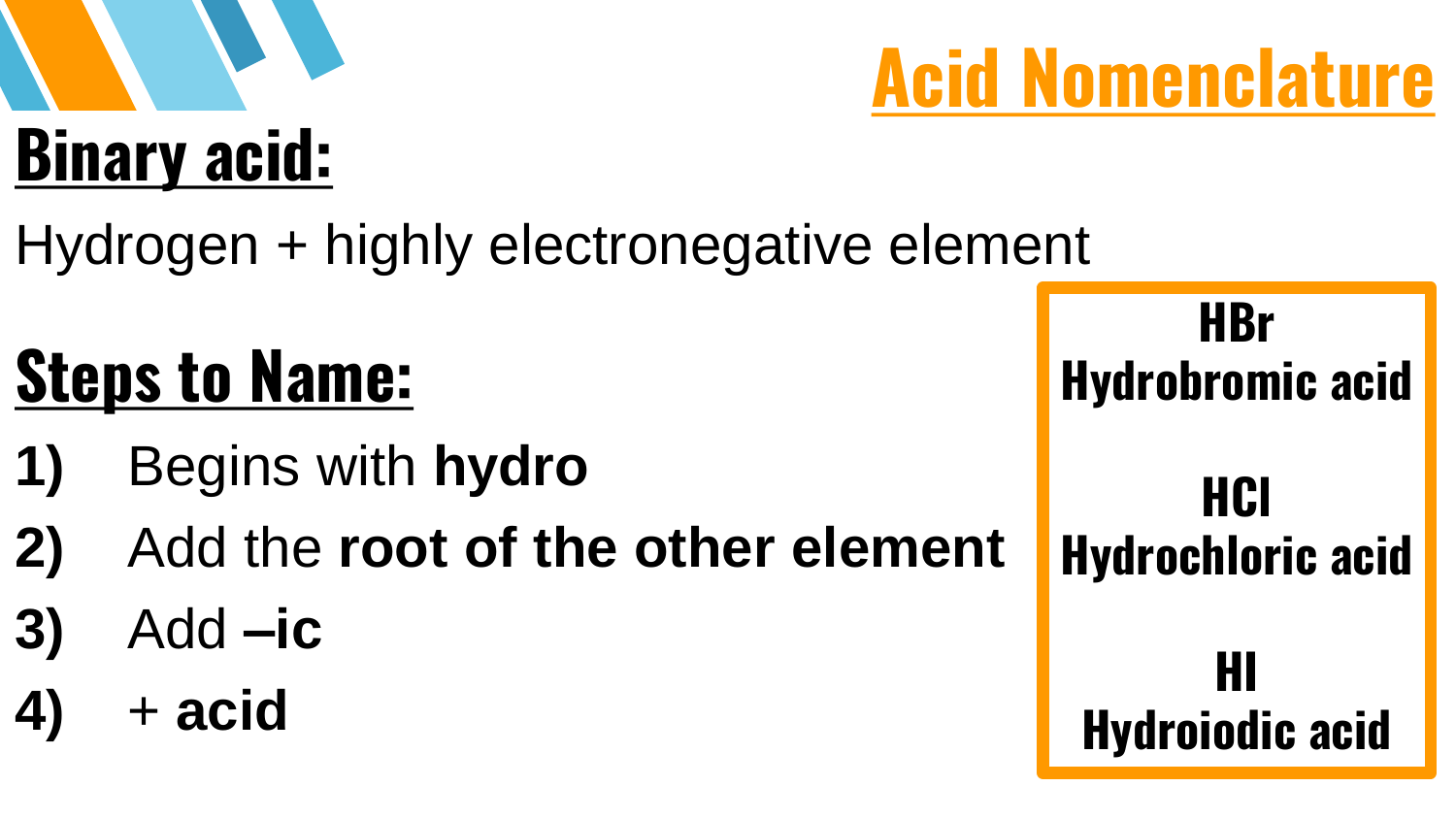# **Binary acid:**

Hydrogen + highly electronegative element

## **Steps to Name:**

- **1)** Begins with **hydro**
- **2)** Add the **root of the other element**
- **3)** Add **–ic**
- **4)** + **acid**

**HBr Hydrobromic acid HCl Hydrochloric acid HI Hydroiodic acid**

**Acid Nomenclature**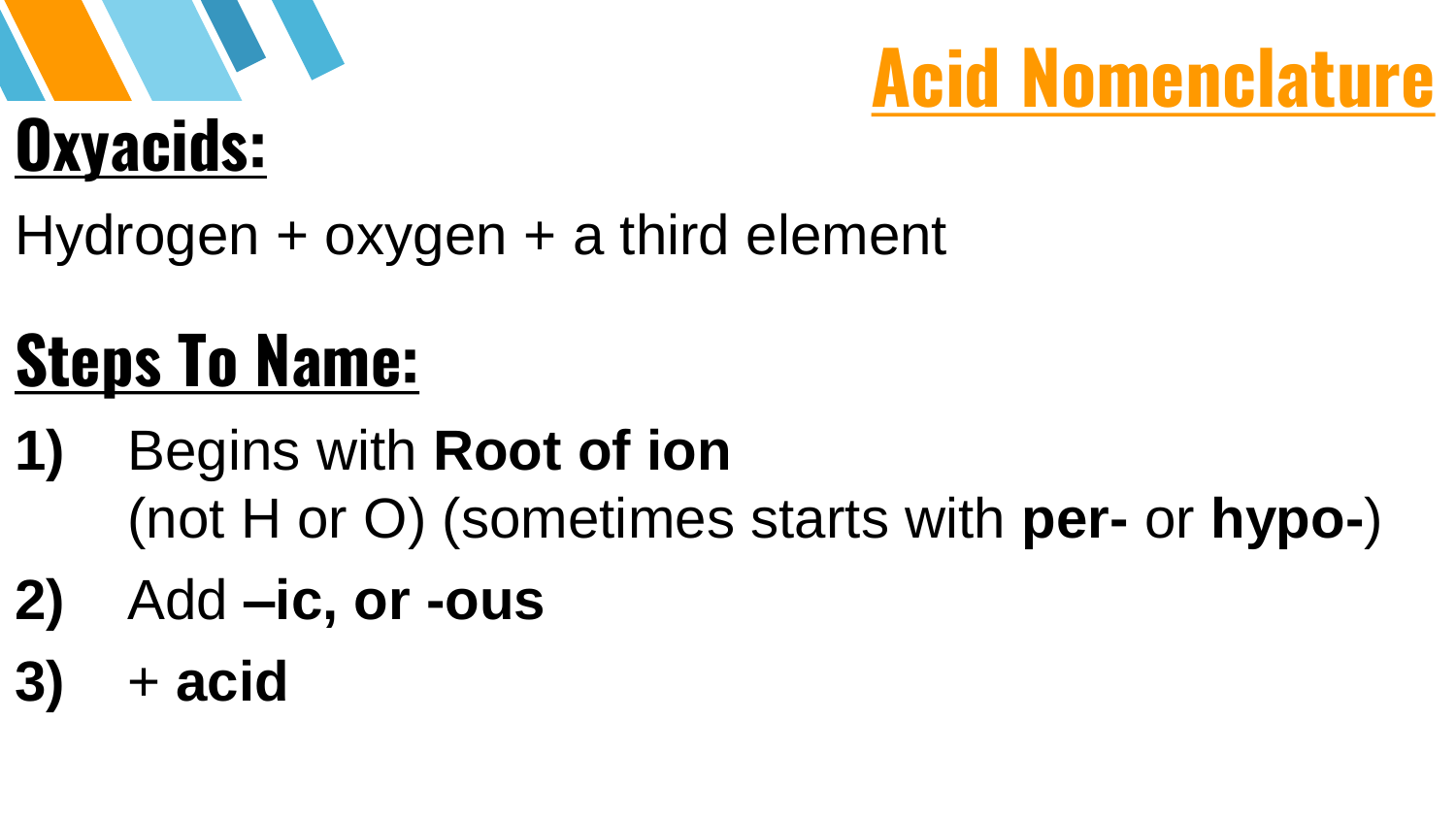# **Oxyacids:**



Hydrogen + oxygen + a third element

#### **Steps To Name:**

- **1)** Begins with **Root of ion**  (not H or O) (sometimes starts with **per-** or **hypo-**)
- **2)** Add **–ic, or -ous**
- **3)** + **acid**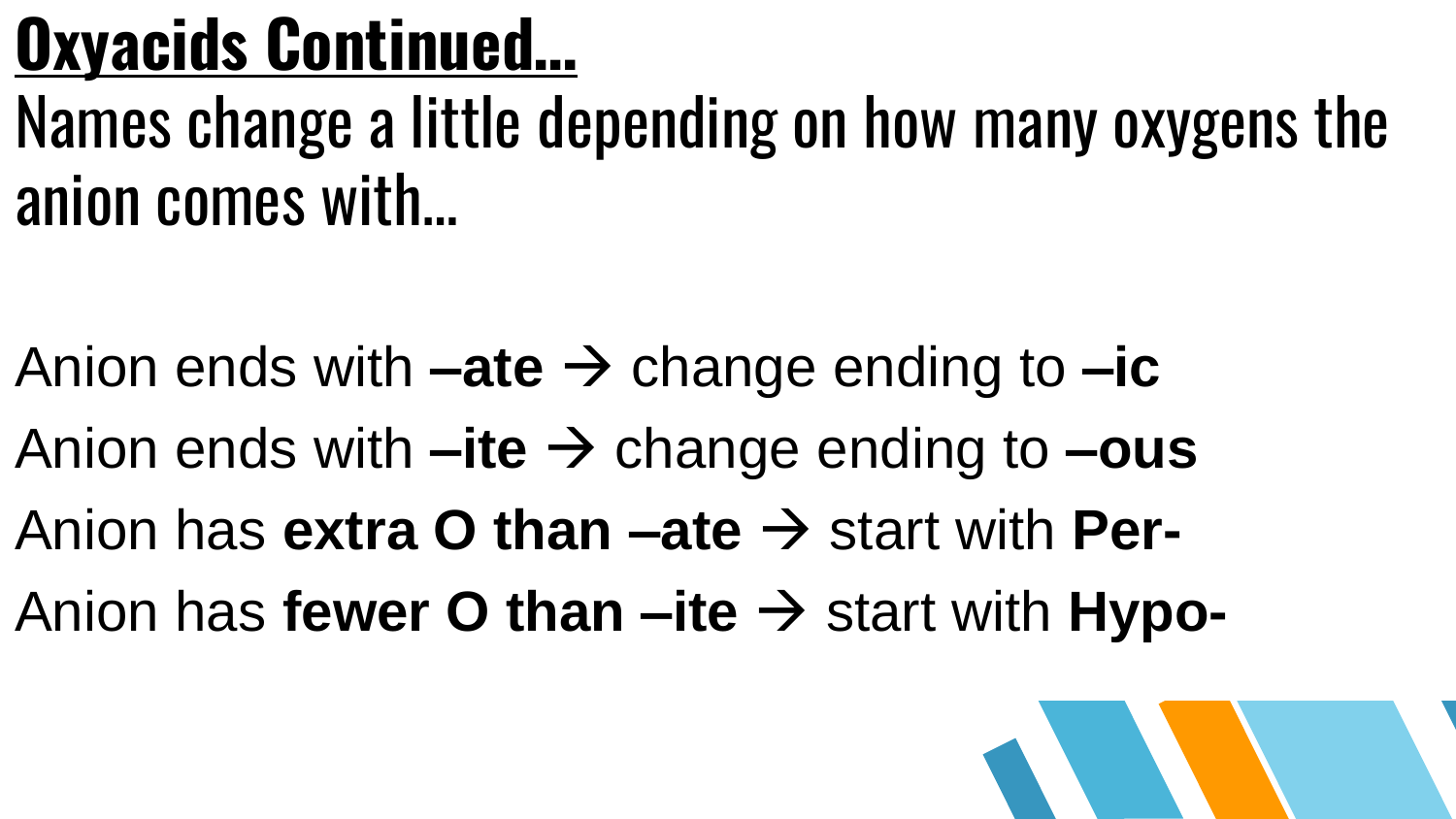#### **Oxyacids Continued…**

Names change a little depending on how many oxygens the anion comes with…

- Anion ends with  $-\text{ate} \rightarrow \text{change ending to } -\text{ic}$
- Anion ends with  $-ite \rightarrow$  change ending to  $-i$ **us**
- Anion has **extra O than –ate**  $\rightarrow$  start with **Per-**
- Anion has **fewer O than –ite**  $\rightarrow$  start with **Hypo-**

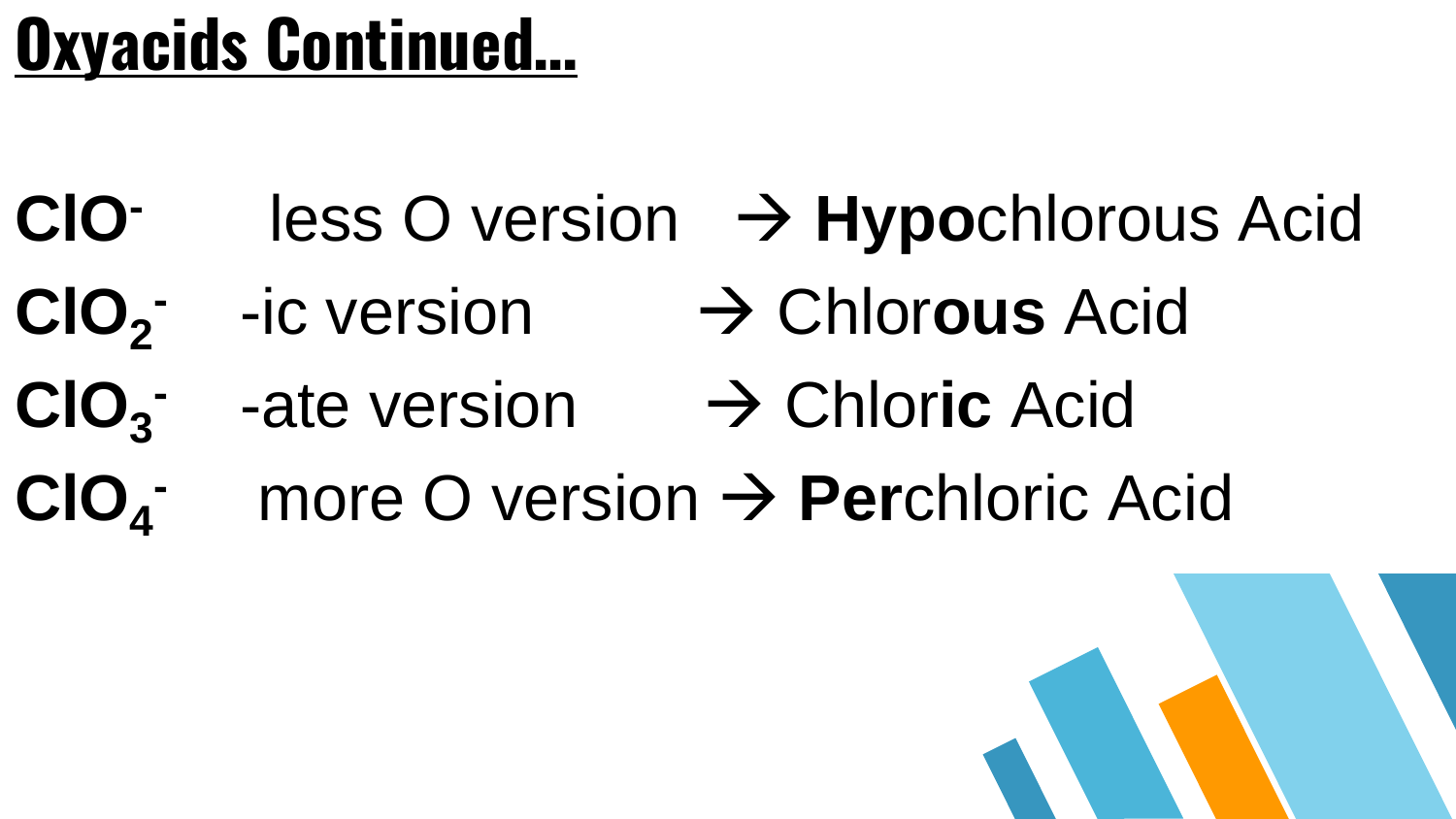#### **Oxyacids Continued…**

- **ClO-**less O version **Hypo**chlorous Acid
- **ClO<sup>2</sup> -** -ic version Chlor**ous** Acid
- ClO<sub>3</sub> **-**ate version
→
Chloric Acid
- **ClO<sup>4</sup> -** more O version **Per**chloric Acid

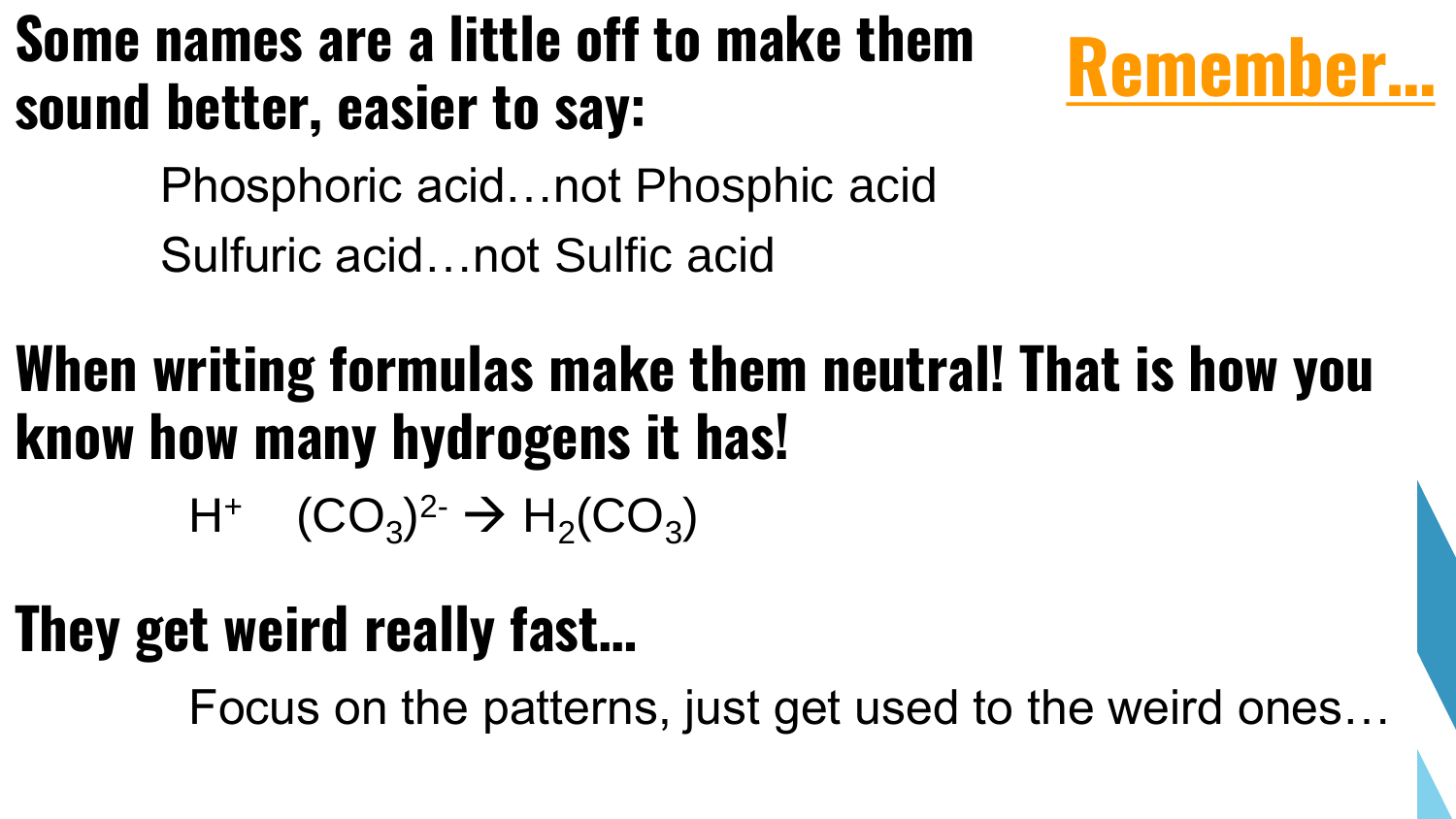#### **Some names are a little off to make them sound better, easier to say:**



Phosphoric acid…not Phosphic acid

Sulfuric acid…not Sulfic acid

#### **When writing formulas make them neutral! That is how you know how many hydrogens it has!**

 $H^+$  (CO<sub>3</sub>)<sup>2-</sup>  $\rightarrow H_2(CO_3)$ 

#### **They get weird really fast…**

Focus on the patterns, just get used to the weird ones…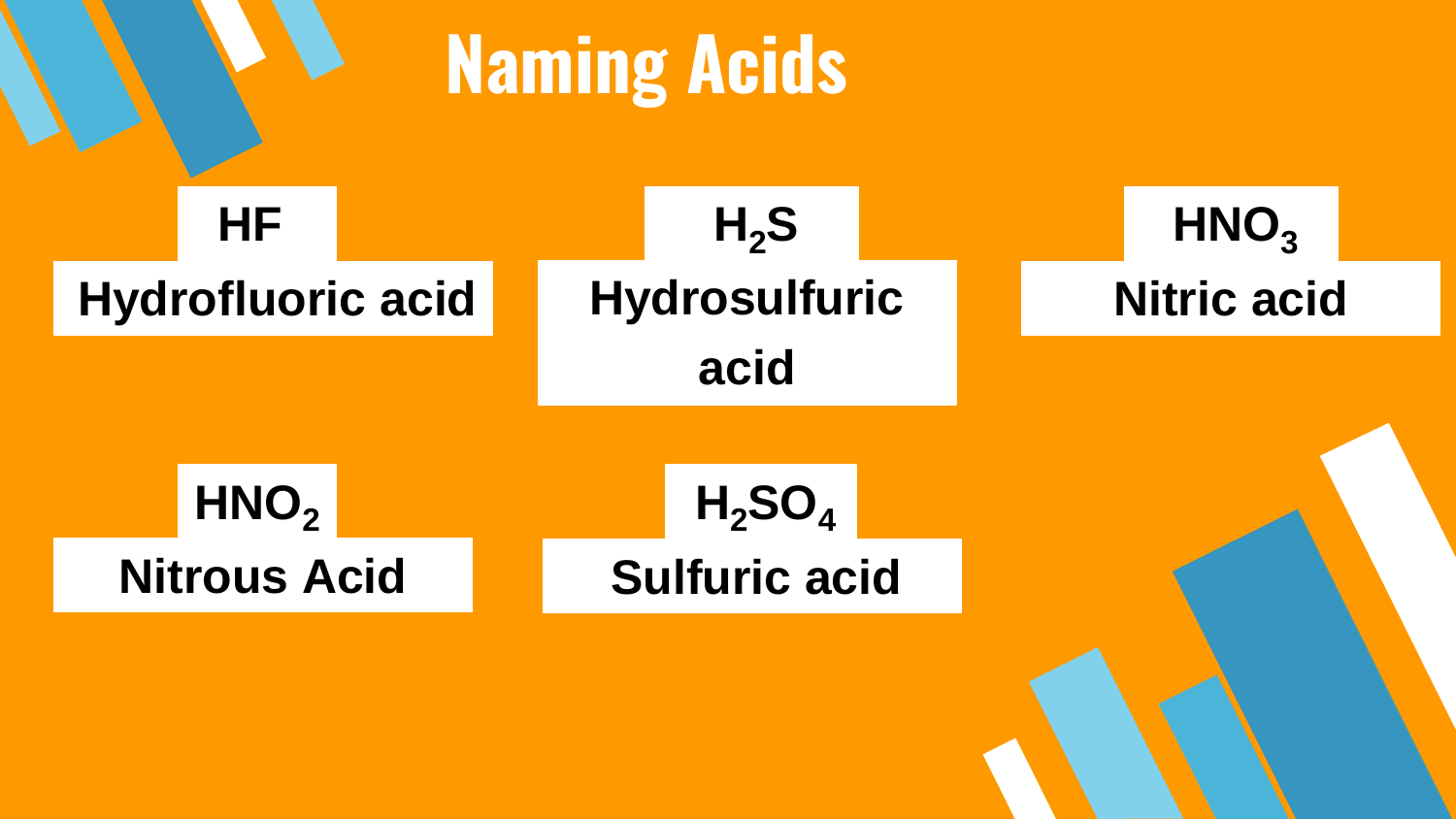#### **Naming Acids**

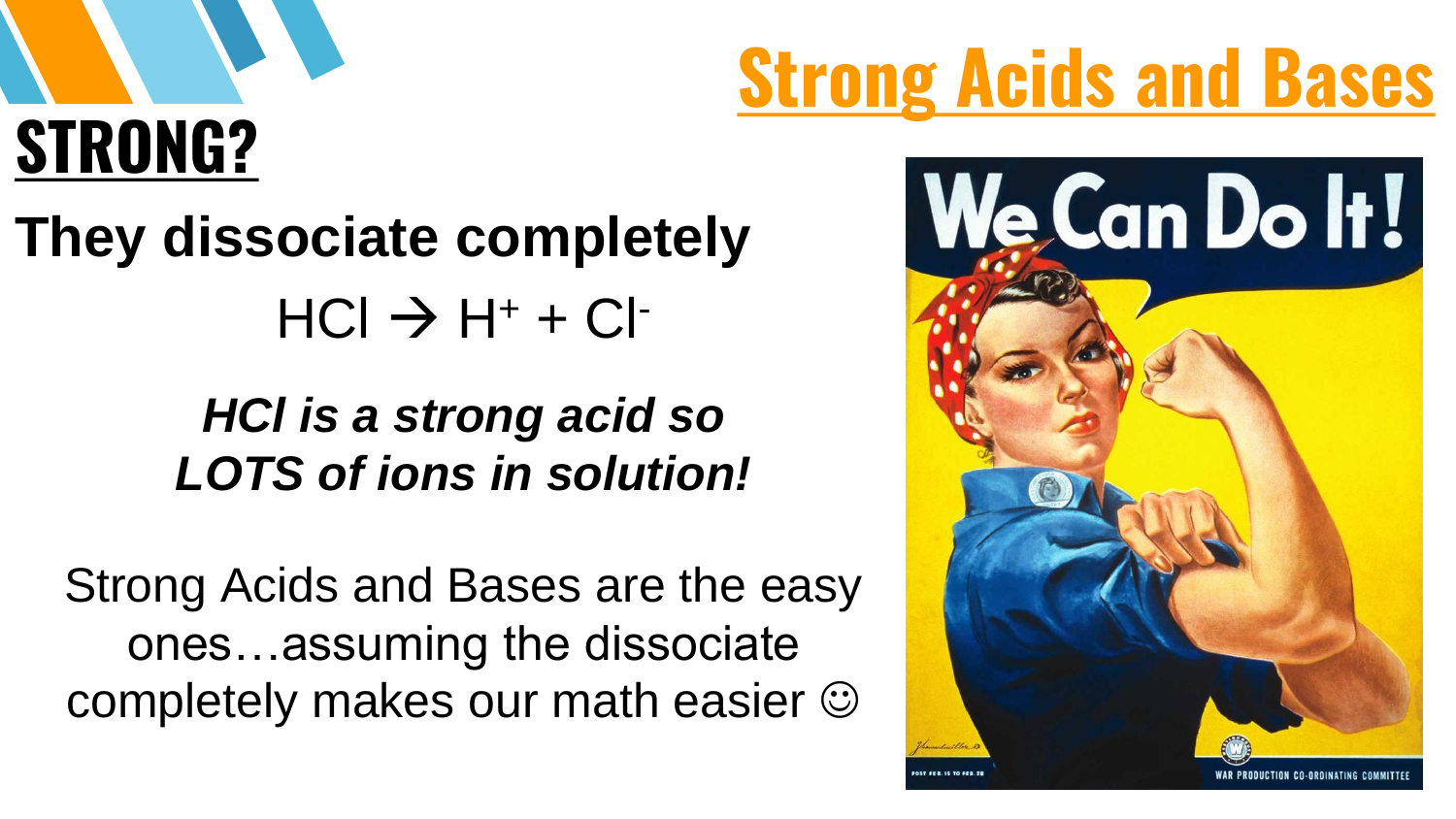# **STRONG?**

#### **They dissociate completely**  $HCl \rightarrow H^+ + Cl^-$

#### *HCl is a strong acid so LOTS of ions in solution!*

Strong Acids and Bases are the easy ones…assuming the dissociate completely makes our math easier

# **Strong Acids and Bases**

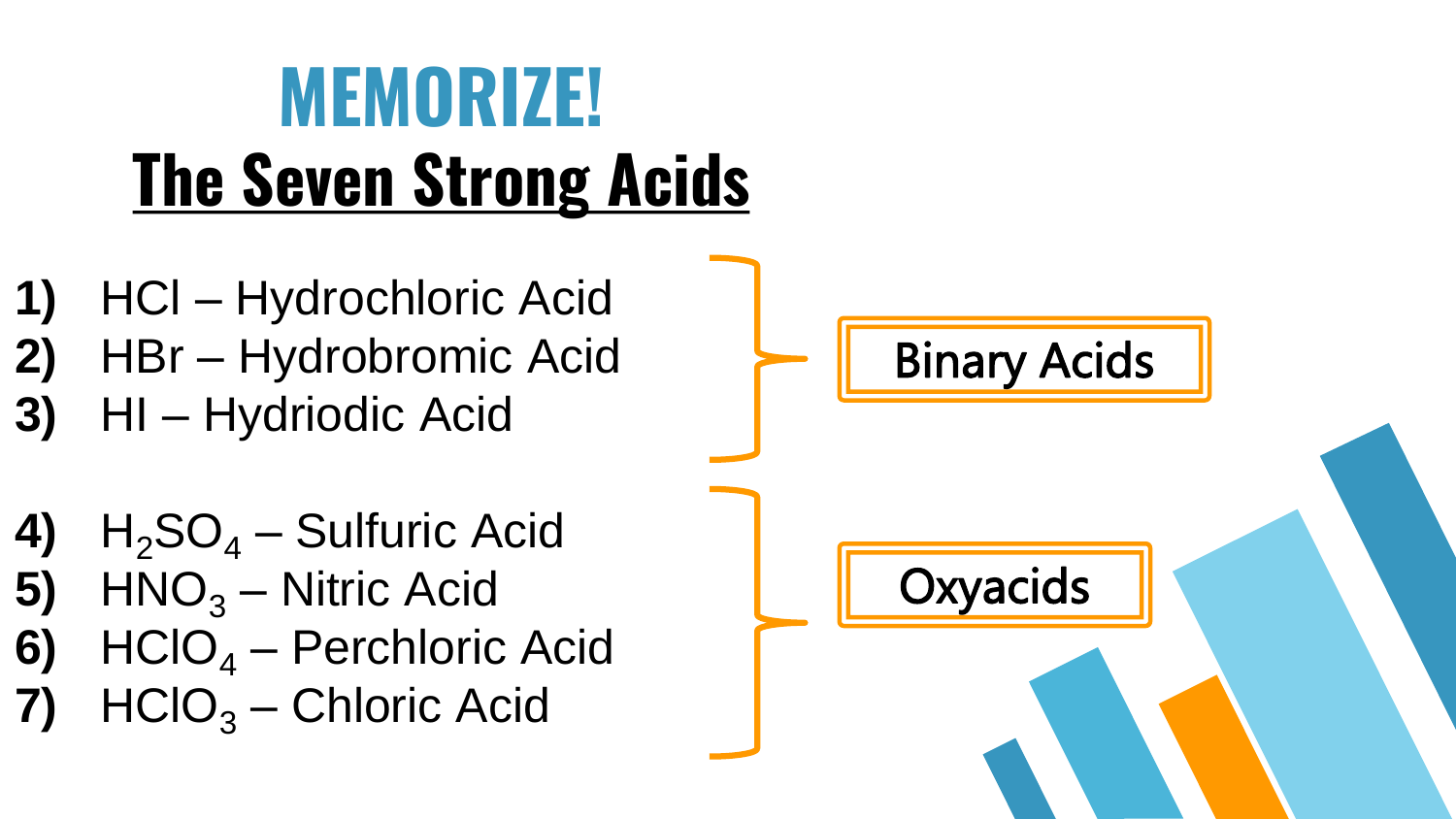#### **MEMORIZE! The Seven Strong Acids**

- **1)** HCl Hydrochloric Acid **2)** HBr – Hydrobromic Acid
- **3)** HI Hydriodic Acid
- **4)**  $H_2SO_4$  Sulfuric Acid
- **5)**  $HNO<sub>3</sub> Nitric Acid$
- **6)** HClO<sub>4</sub> Perchloric Acid
- **7)** HClO<sup>3</sup> Chloric Acid

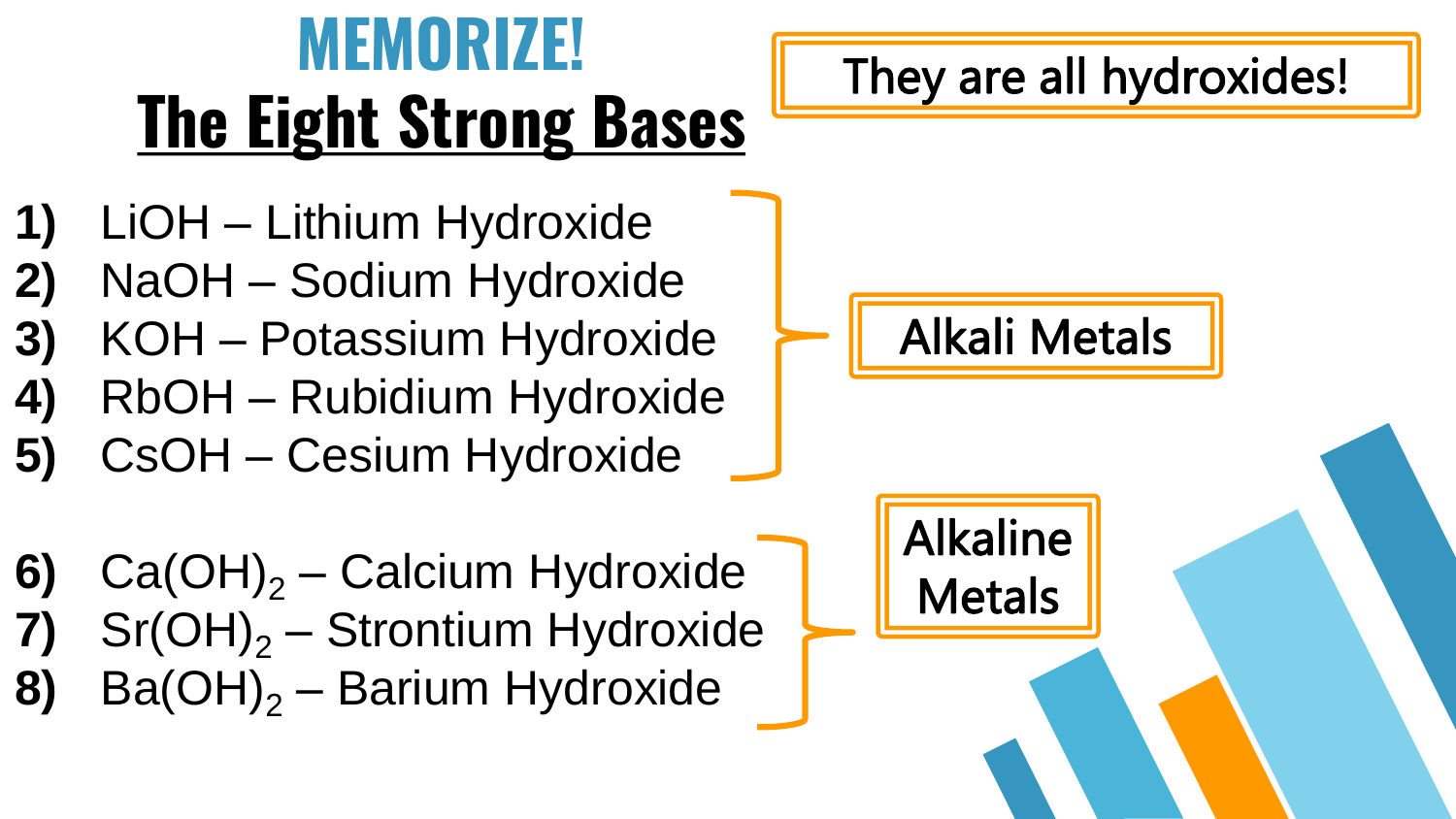#### **MEMORIZE! The Eight Strong Bases**

#### They are all hydroxides!

- **1)** LiOH Lithium Hydroxide
- **2)** NaOH Sodium Hydroxide
- **3)** KOH Potassium Hydroxide
- **4)** RbOH Rubidium Hydroxide
- **5)** CsOH Cesium Hydroxide
- **6)** Ca(OH)<sub>2</sub> Calcium Hydroxide  $Sr(OH)<sub>2</sub> - Strontium Hydroxide$ **8)** Ba(OH)<sub>2</sub> – Barium Hydroxide



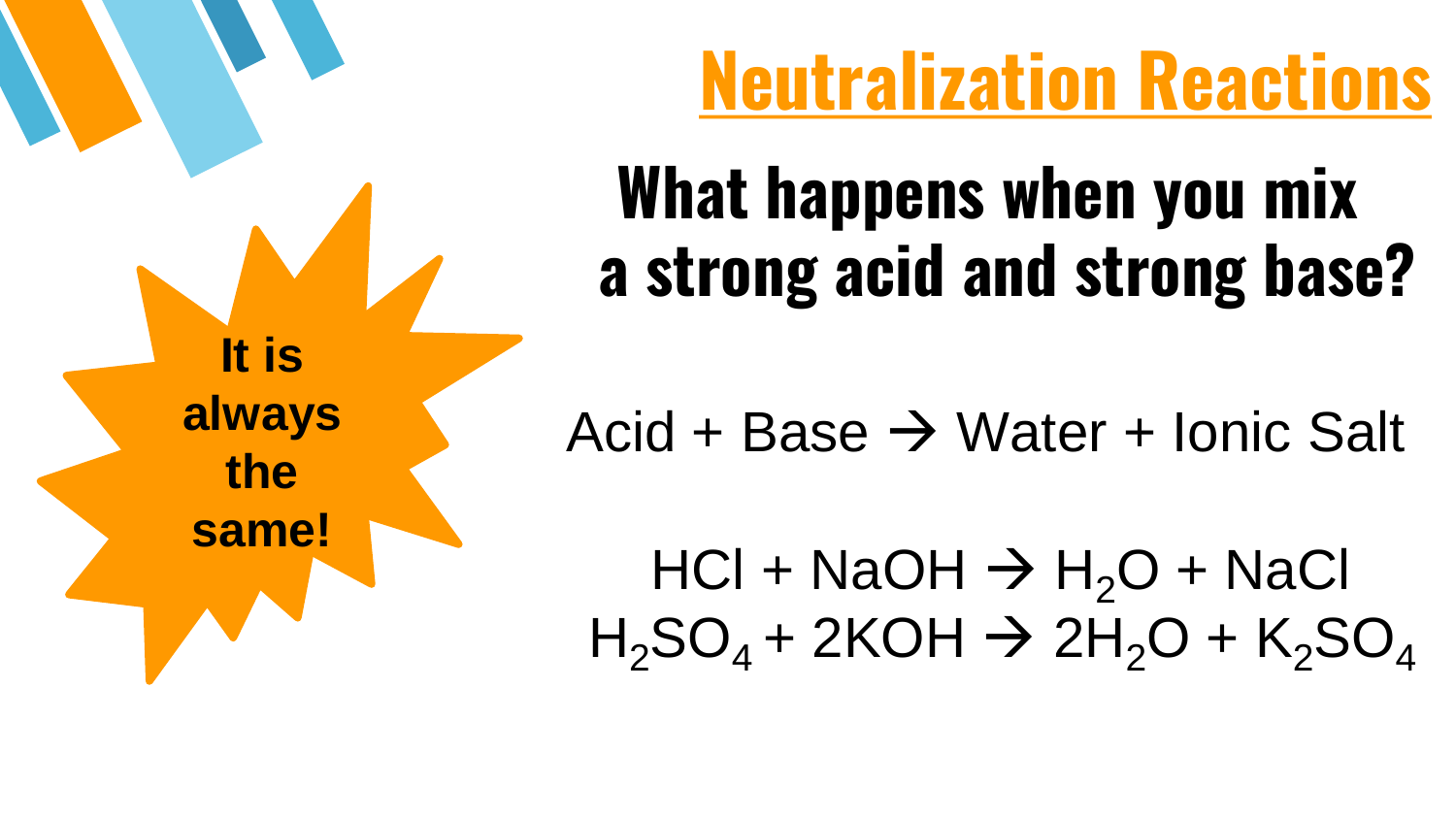

#### **Neutralization Reactions**

#### **What happens when you mix a strong acid and strong base?**

Acid + Base  $\rightarrow$  Water + Ionic Salt

 $HCl + NaOH \rightarrow H<sub>2</sub>O + NaCl$  $H_2SO_4$  + 2KOH  $\rightarrow$  2H<sub>2</sub>O + K<sub>2</sub>SO<sub>4</sub>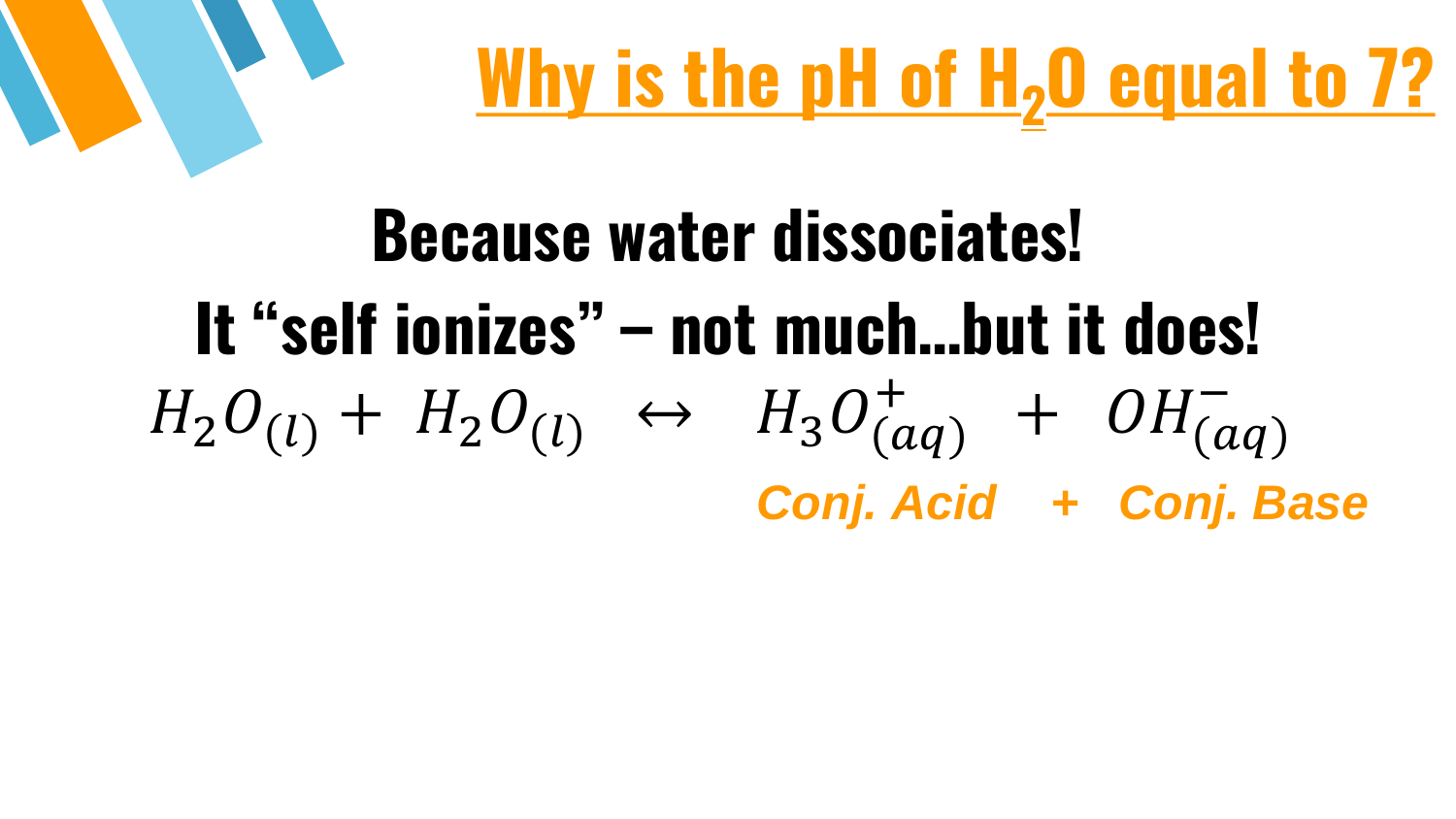

#### **Because water dissociates! It "self ionizes" – not much…but it does!**  $H_2O_{(l)} + H_2O_{(l)} \leftrightarrow H_3O_{(aq)}^+ + OH_{(aq)}^-$ *Conj. Acid + Conj. Base*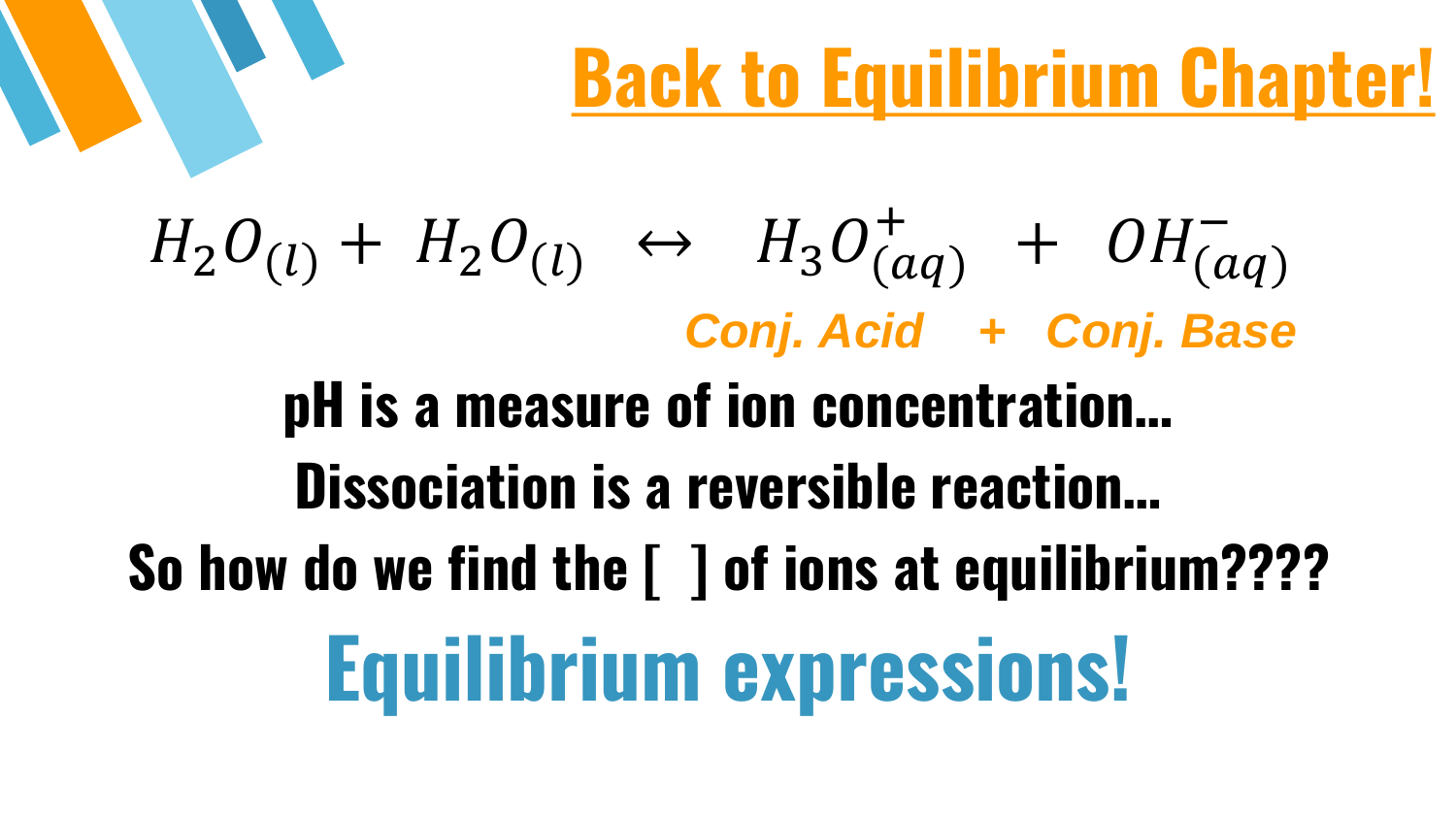### **Back to Equilibrium Chapter!**

## $H_2O_{(l)} + H_2O_{(l)} \leftrightarrow H_3O_{(aq)}^+ + OH_{(aq)}^-$ *Conj. Acid + Conj. Base* **pH is a measure of ion concentration… Dissociation is a reversible reaction… So how do we find the [ ] of ions at equilibrium???? Equilibrium expressions!**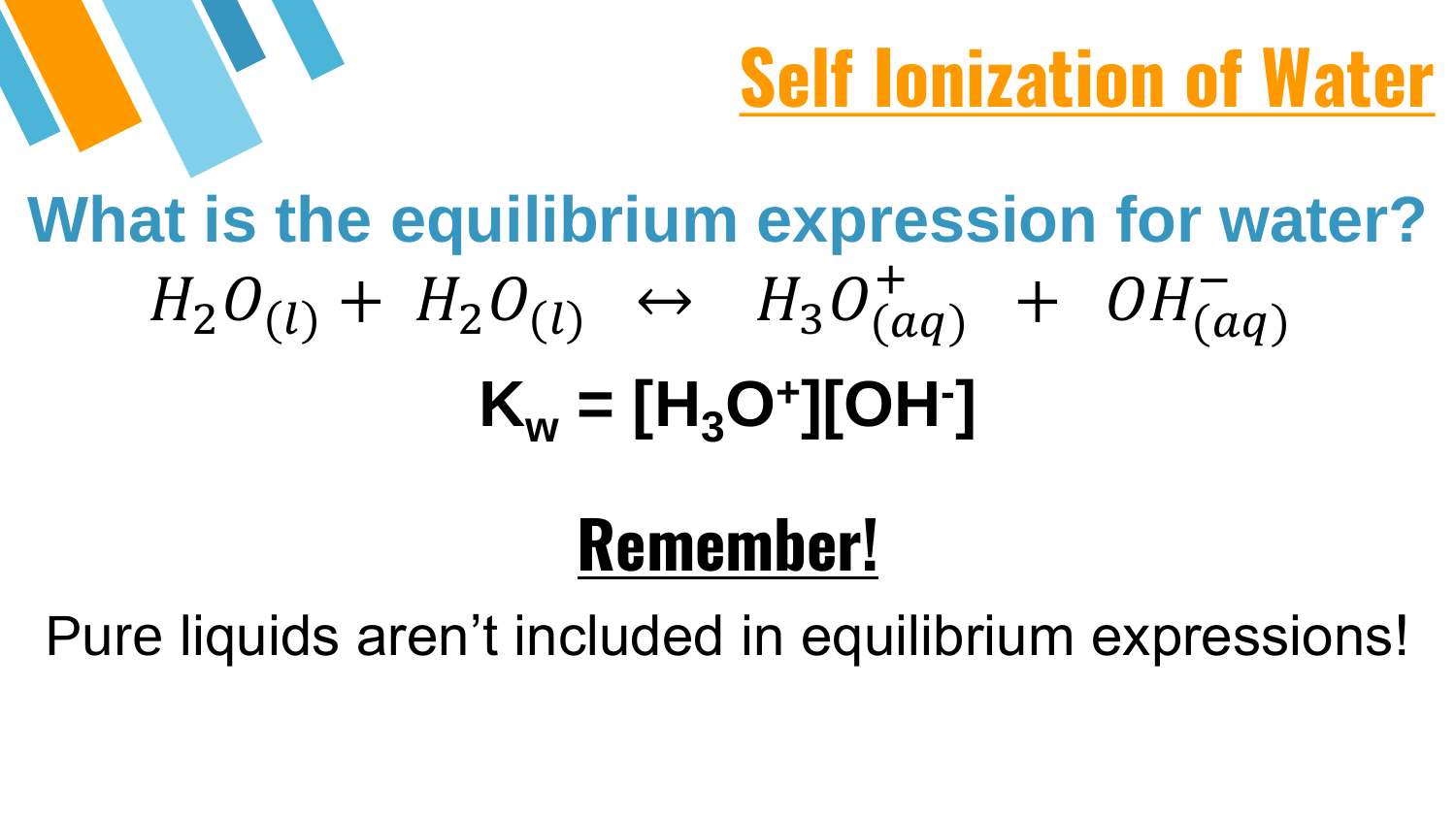

## **What is the equilibrium expression for water?**  $H_2O_{(l)} + H_2O_{(l)} \leftrightarrow H_3O_{(aq)}^+ + OH_{(aq)}^ K_w = [H_3O^+][OH^-]$

#### **Remember!**

Pure liquids aren't included in equilibrium expressions!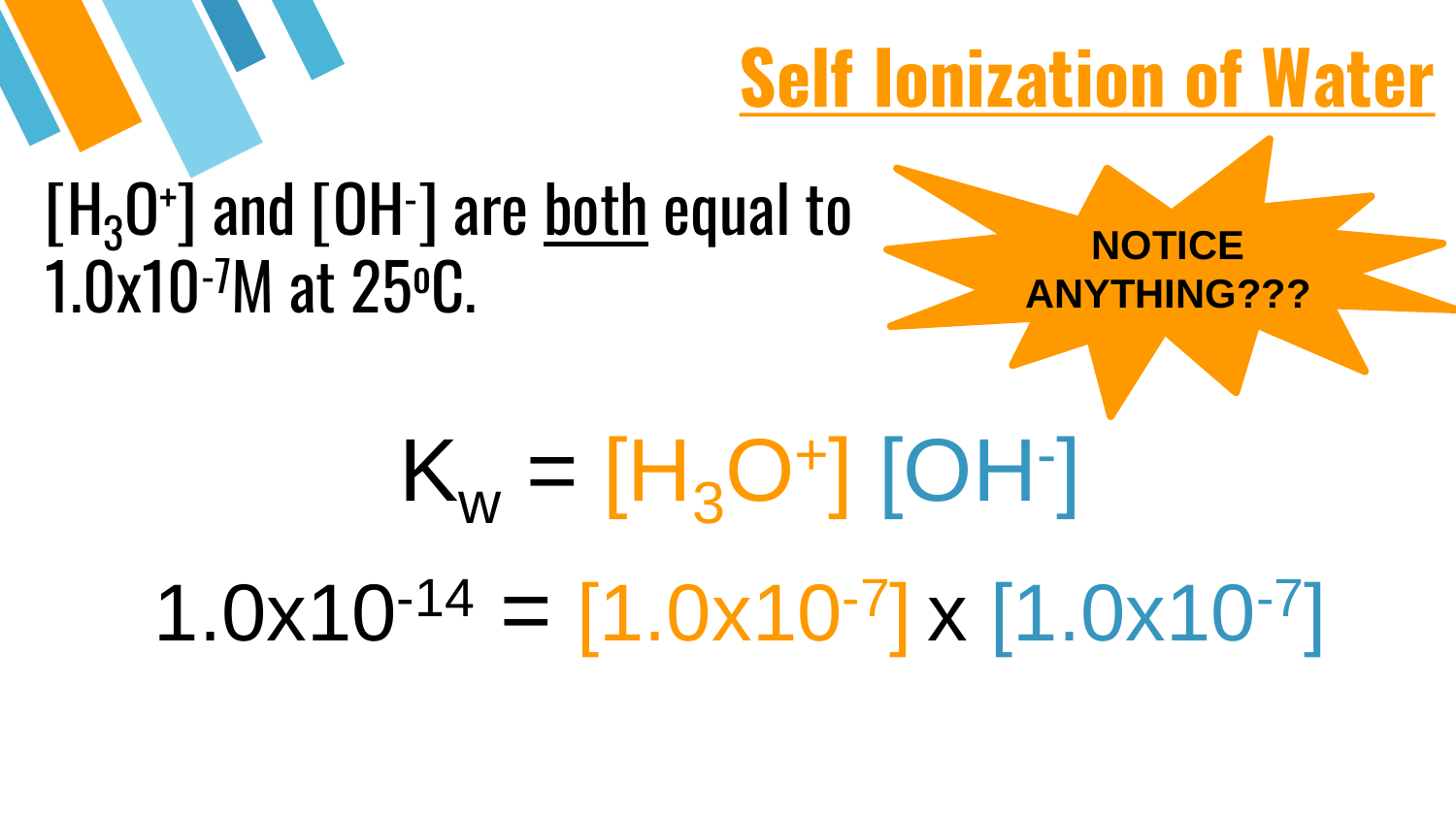#### **Self Ionization of Water**

**NOTICE** 

**ANYTHING???**

#### $[H_3O^+]$  and  $[OH^-]$  are <u>both</u> equal to 1.0x10-7M at 25<sup>o</sup>C.

# $K_w = [H_3O^+]$  [OH-]  $1.0x10^{-14} = [1.0x10^{-7}] \times [1.0x10^{-7}]$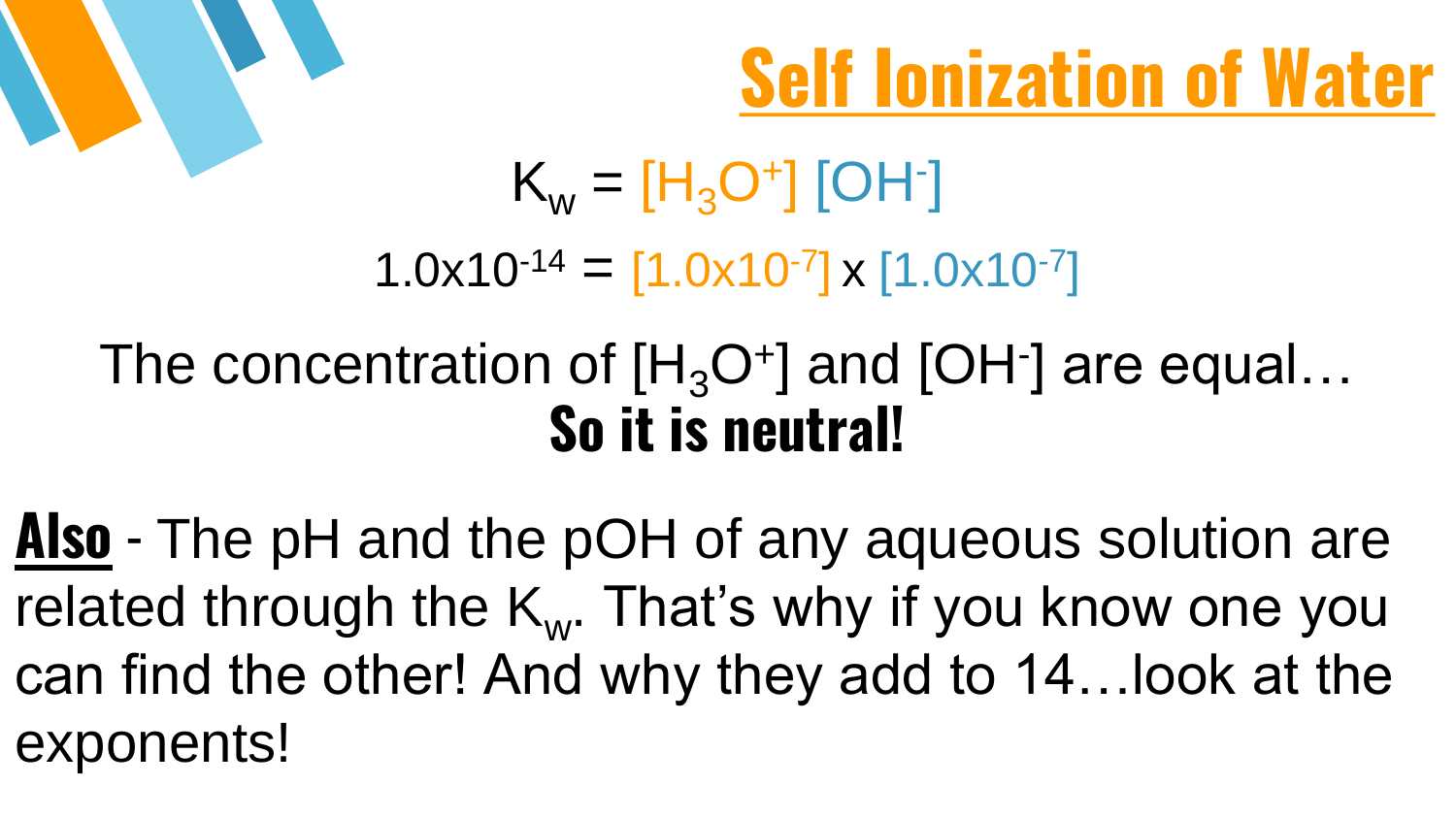



 $K_w = [H_3O^+]$  [OH-]  $1.0x10^{-14} = [1.0x10^{-7}] \times [1.0x10^{-7}]$ 

#### The concentration of  $[H_3O^+]$  and [OH $\cdot$ ] are equal... **So it is neutral!**

**Also** - The pH and the pOH of any aqueous solution are related through the  $K_{w}$ . That's why if you know one you can find the other! And why they add to 14…look at the exponents!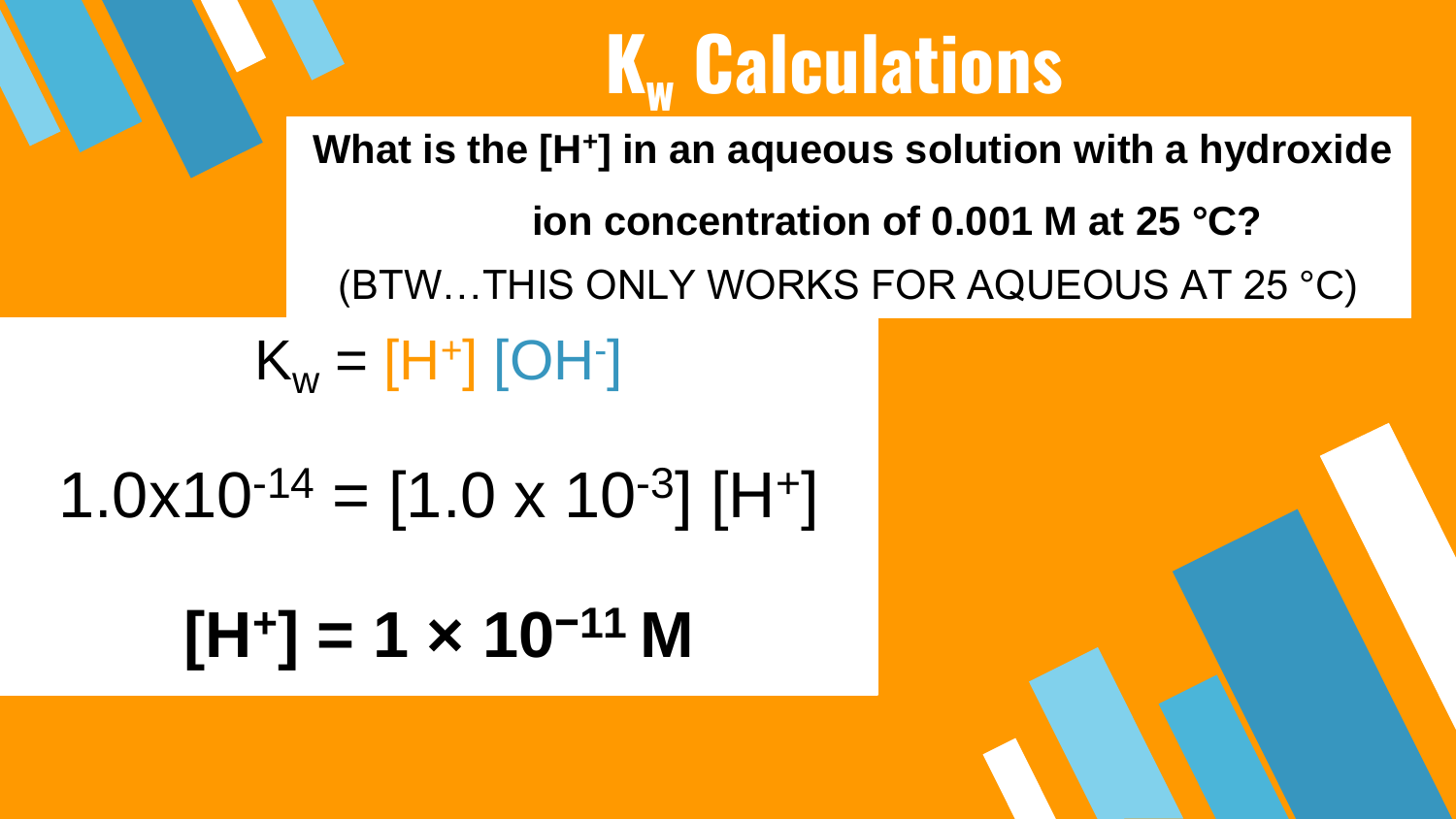#### **[H<sup>+</sup> ] = 1 × 10−11 M**

#### $1.0x10^{-14} = [1.0 x 10^{-3}] [H^+]$

#### $K_w = [H^+]$  [OH-]

**ion concentration of 0.001 M at 25 °C?** (BTW…THIS ONLY WORKS FOR AQUEOUS AT 25 °C)

#### **K<sup>w</sup> Calculations**

**What is the [H<sup>+</sup> ] in an aqueous solution with a hydroxide**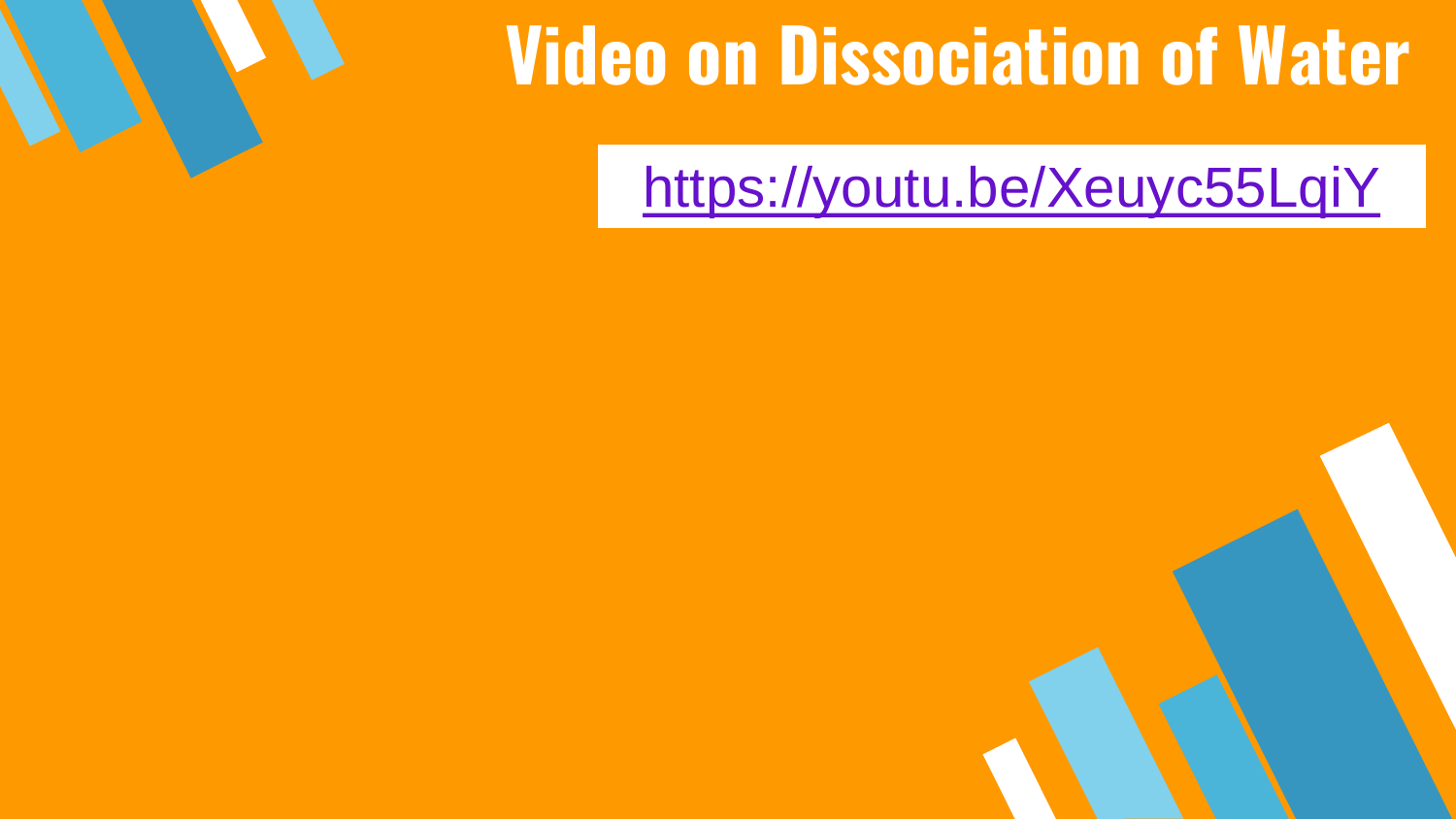

#### **Video on Dissociation of Water**

<https://youtu.be/Xeuyc55LqiY>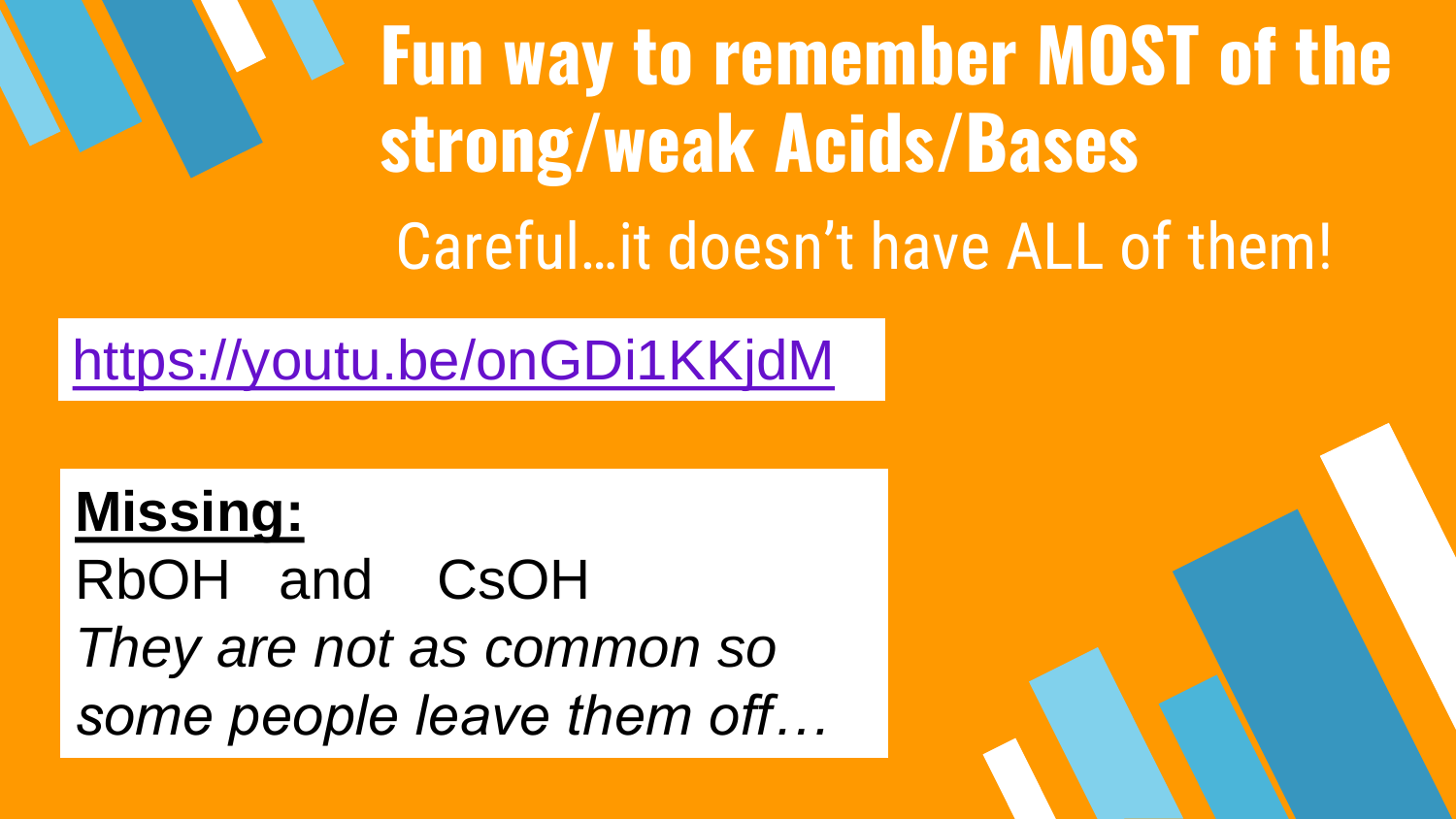**Fun way to remember MOST of the strong/weak Acids/Bases** Careful…it doesn't have ALL of them!

<https://youtu.be/onGDi1KKjdM>

**Missing:** RbOH and CsOH *They are not as common so some people leave them off…*